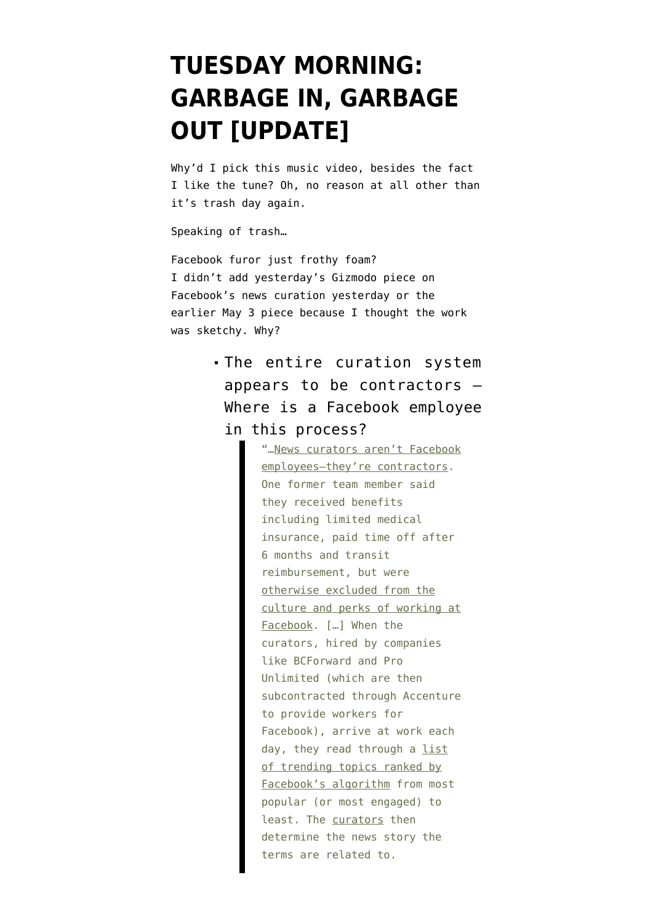## **[TUESDAY MORNING:](https://www.emptywheel.net/2016/05/10/tuesday-morning-garbage-in-garbage-out/) [GARBAGE IN, GARBAGE](https://www.emptywheel.net/2016/05/10/tuesday-morning-garbage-in-garbage-out/) [OUT \[UPDATE\]](https://www.emptywheel.net/2016/05/10/tuesday-morning-garbage-in-garbage-out/)**

Why'd I pick this music video, besides the fact I like the tune? Oh, no reason at all other than it's trash day again.

Speaking of trash…

Facebook furor just frothy foam? I didn't add yesterday's Gizmodo piece on [Facebook's news curation](http://gizmodo.com/former-facebook-workers-we-routinely-suppressed-conser-1775461006) yesterday or the [earlier May 3 piece](http://gizmodo.com/want-to-know-what-facebook-really-thinks-of-journalists-1773916117) because I thought the work was sketchy. Why?

> The entire curation system appears to be contractors — Where is a Facebook employee in this process?

> > "…News curators aren't Facebook employees-they're contractors. One former team member said they received benefits including limited medical insurance, paid time off after 6 months and transit reimbursement, but were otherwise excluded from the culture and perks of working at Facebook. […] When the curators, hired by companies like BCForward and Pro Unlimited (which are then subcontracted through Accenture to provide workers for Facebook), arrive at work each day, they read through a list of trending topics ranked by Facebook's algorithm from most popular (or most engaged) to least. The curators then determine the news story the terms are related to.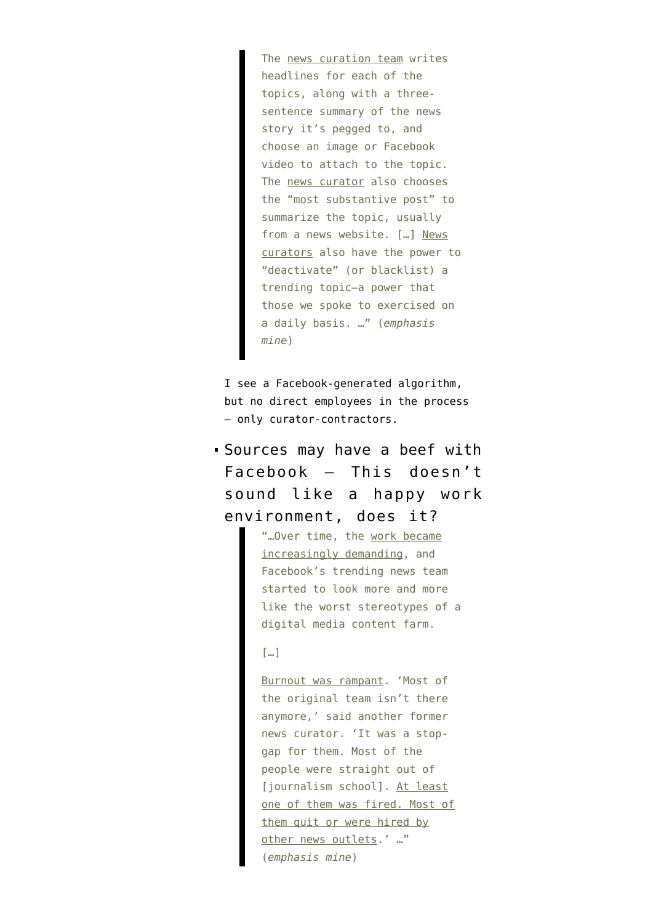The news curation team writes headlines for each of the topics, along with a threesentence summary of the news story it's pegged to, and choose an image or Facebook video to attach to the topic. The news curator also chooses the "most substantive post" to summarize the topic, usually from a news website. […] News curators also have the power to "deactivate" (or blacklist) a trending topic—a power that those we spoke to exercised on a daily basis. …" (*emphasis mine*)

I see a Facebook-generated algorithm, but no direct employees in the process — only curator-contractors.

Sources may have a beef with Facebook — This doesn't sound like a happy work environment, does it?

> "…Over time, the work became increasingly demanding, and Facebook's trending news team started to look more and more like the worst stereotypes of a digital media content farm.

## […]

Burnout was rampant. 'Most of the original team isn't there anymore,' said another former news curator. 'It was a stopgap for them. Most of the people were straight out of [journalism school]. At least one of them was fired. Most of them quit or were hired by other news outlets.' …" (*emphasis mine*)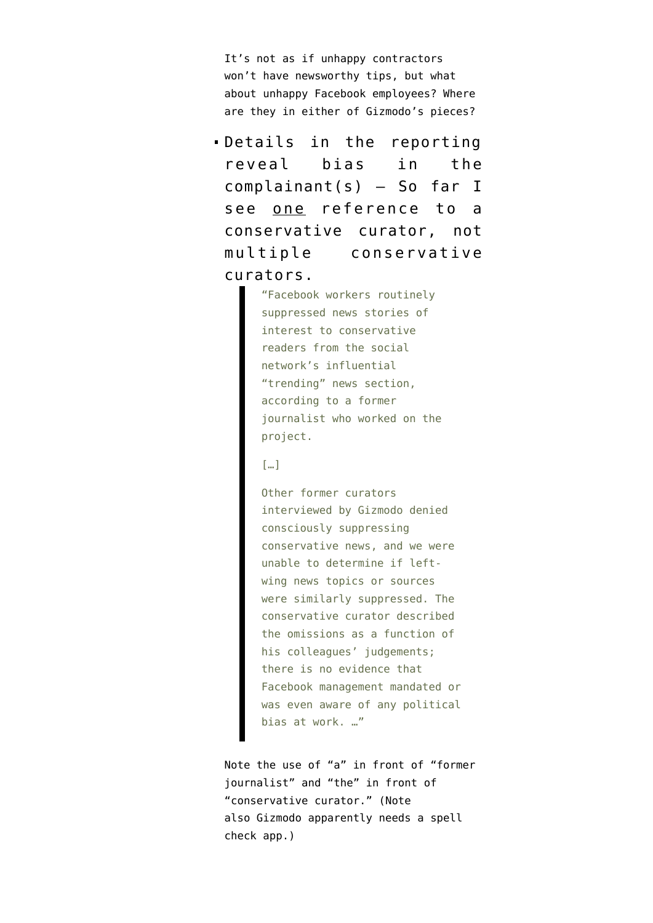It's not as if unhappy contractors won't have newsworthy tips, but what about unhappy Facebook employees? Where are they in either of Gizmodo's pieces?

Details in the reporting reveal bias in the complainant(s) — So far I see one reference to a conservative curator, not multiple conservative curators.

> "Facebook workers routinely suppressed news stories of interest to conservative readers from the social network's influential "trending" news section, according to a former journalist who worked on the project.

## $\lceil \dots \rceil$

Other former curators interviewed by Gizmodo denied consciously suppressing conservative news, and we were unable to determine if leftwing news topics or sources were similarly suppressed. The conservative curator described the omissions as a function of his colleagues' judgements; there is no evidence that Facebook management mandated or was even aware of any political bias at work. …"

Note the use of "a" in front of "former journalist" and "the" in front of "conservative curator." (Note also Gizmodo apparently needs a spell check app.)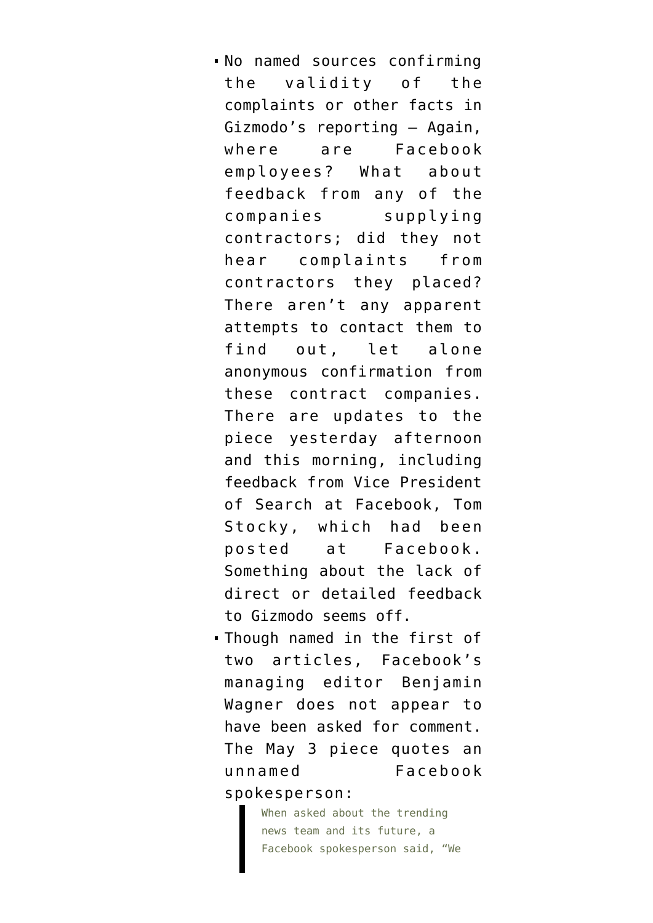- No named sources confirming the validity of the complaints or other facts in Gizmodo's reporting — Again, where are Facebook employees? What about feedback from any of the companies supplying contractors; did they not hear complaints from contractors they placed? There aren't any apparent attempts to contact them to find out, let alone anonymous confirmation from these contract companies. There are updates to the piece yesterday afternoon and this morning, including feedback from Vice President of Search at Facebook, Tom Stocky, which had been posted at Facebook. Something about the lack of direct or detailed feedback to Gizmodo seems off.
- Though named in the first of two articles, Facebook's managing editor Benjamin Wagner does not appear to have been asked for comment. The May 3 piece quotes an unnamed Facebook spokesperson:

When asked about the trending news team and its future, a Facebook spokesperson said, "We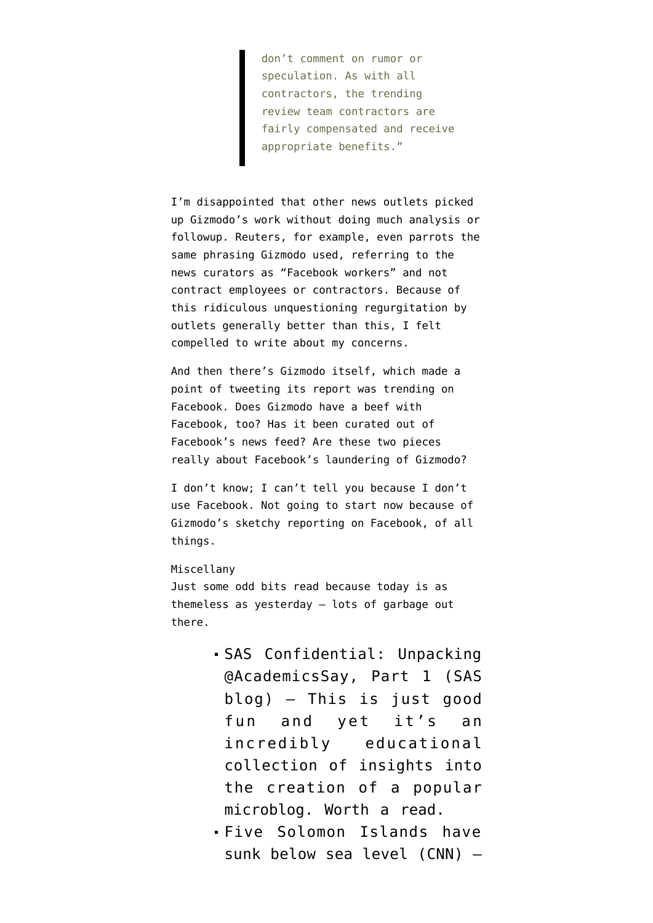don't comment on rumor or speculation. As with all contractors, the trending review team contractors are fairly compensated and receive appropriate benefits."

I'm disappointed that other news outlets picked up Gizmodo's work without doing much analysis or followup. Reuters, for example, even [parrots the](http://www.reuters.com/article/us-socialmedia-facebook-idUSKCN0Y02EY) [same phrasing](http://www.reuters.com/article/us-socialmedia-facebook-idUSKCN0Y02EY) Gizmodo used, referring to the news curators as "Facebook workers" and not contract employees or contractors. Because of this ridiculous unquestioning regurgitation by outlets generally better than this, I felt compelled to write about my concerns.

And then there's Gizmodo itself, which made a point of t[weeting its report was trending on](https://twitter.com/Gizmodo/status/729746030896533504) [Facebook.](https://twitter.com/Gizmodo/status/729746030896533504) Does Gizmodo have a beef with Facebook, too? Has it been curated out of Facebook's news feed? Are these two pieces really about Facebook's laundering of Gizmodo?

I don't know; I can't tell you because I don't use Facebook. Not going to start now because of Gizmodo's sketchy reporting on Facebook, of all things.

## Miscellany

Just some odd bits read because today is as themeless as yesterday — lots of garbage out there.

- [SAS Confidential: Unpacking](https://sasconfidential.com/2016/05/06/academicssay-pt1/) [@AcademicsSay, Part 1](https://sasconfidential.com/2016/05/06/academicssay-pt1/) (SAS blog) — This is just good fun and yet it's an incredibly educational collection of insights into the creation of a popular microblog. Worth a read.
- [Five Solomon Islands have](http://www.cnn.com/2016/05/10/world/pacific-solomon-islands-disappear/) [sunk below sea level](http://www.cnn.com/2016/05/10/world/pacific-solomon-islands-disappear/) (CNN) —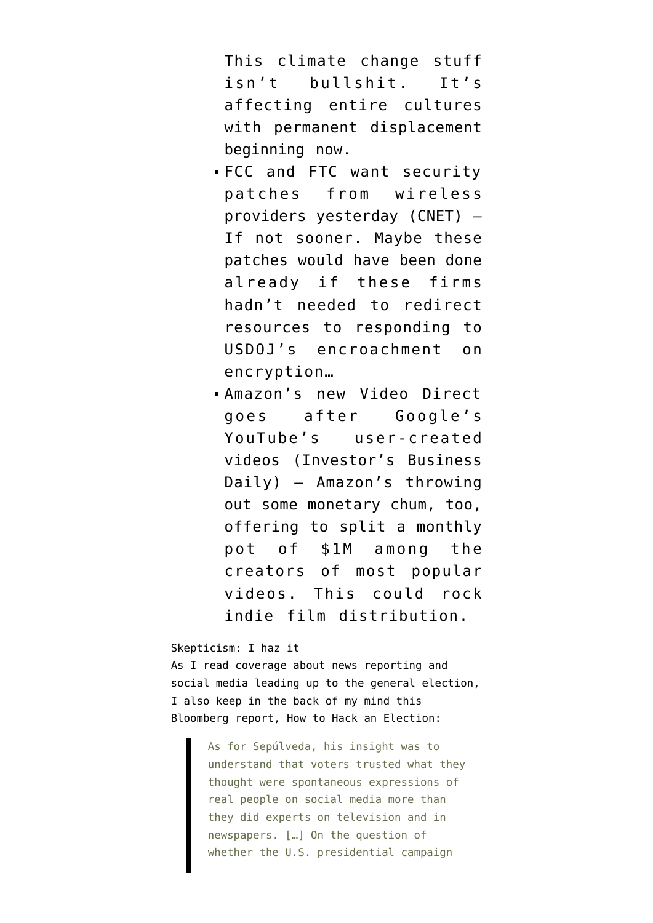This climate change stuff isn't bullshit. It's affecting entire cultures with permanent displacement beginning now.

- [FCC and FTC want security](http://www.cnet.com/news/fcc-and-ftc-question-wireless-industry-about-mobile-security-threats/) [patches from wireless](http://www.cnet.com/news/fcc-and-ftc-question-wireless-industry-about-mobile-security-threats/) [providers yesterday](http://www.cnet.com/news/fcc-and-ftc-question-wireless-industry-about-mobile-security-threats/) (CNET) — If not sooner. Maybe these patches would have been done already if these firms hadn't needed to redirect resources to responding to USDOJ's encroachment on encryption…
- [Amazon's new Video Direct](http://www.investors.com/news/technology/amazon-launches-youtube-competitor-on-prime-video-platform/) [goes after Google's](http://www.investors.com/news/technology/amazon-launches-youtube-competitor-on-prime-video-platform/) [YouTube's user-created](http://www.investors.com/news/technology/amazon-launches-youtube-competitor-on-prime-video-platform/) [videos](http://www.investors.com/news/technology/amazon-launches-youtube-competitor-on-prime-video-platform/) (Investor's Business Daily) — Amazon's throwing out some monetary chum, too, offering to split a monthly pot of \$1M among the creators of most popular videos. This could rock indie film distribution.

Skepticism: I haz it

As I read coverage about news reporting and social media leading up to the general election, I also keep in the back of my mind this Bloomberg report, [How to Hack an Election:](http://www.bloomberg.com/features/2016-how-to-hack-an-election/)

> As for Sepúlveda, his insight was to understand that voters trusted what they thought were spontaneous expressions of real people on social media more than they did experts on television and in newspapers. […] On the question of whether the U.S. presidential campaign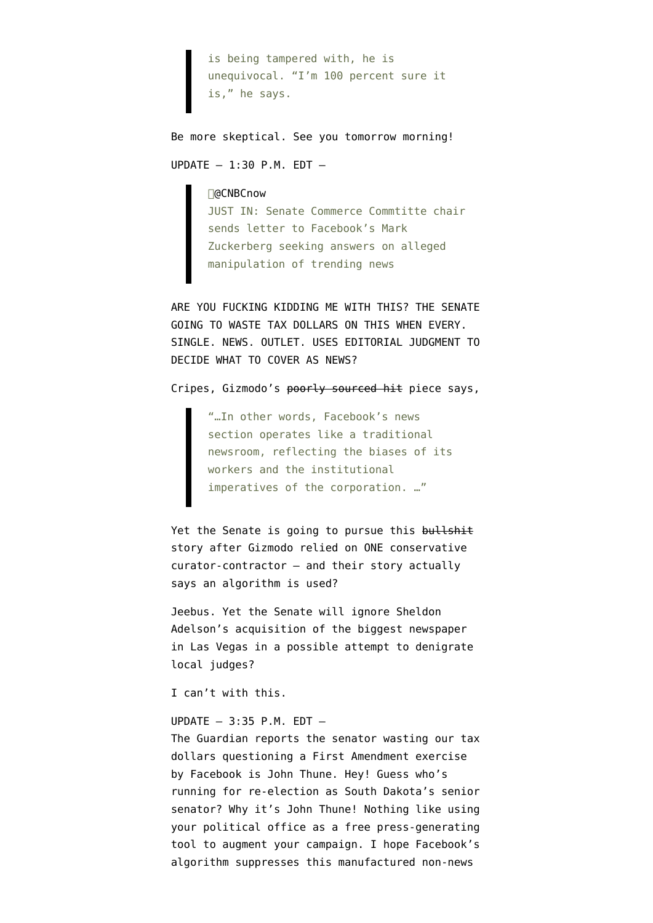is being tampered with, he is unequivocal. "I'm 100 percent sure it is," he says.

Be more skeptical. See you tomorrow morning! UPDATE — 1:30 P.M. EDT —

∏@CNBCnow

JUST IN: Senate Commerce Commtitte chair sends letter to Facebook's Mark Zuckerberg seeking answers on alleged manipulation of trending news

ARE YOU FUCKING KIDDING ME WITH THIS? THE SENATE GOING TO WASTE TAX DOLLARS ON THIS WHEN EVERY. SINGLE. NEWS. OUTLET. USES EDITORIAL JUDGMENT TO DECIDE WHAT TO COVER AS NEWS?

Cripes, Gizmodo's poorly sourced hit piece says,

"…In other words, Facebook's news section operates like a traditional newsroom, reflecting the biases of its workers and the institutional imperatives of the corporation. …"

Yet the Senate is going to pursue this bullshit story after Gizmodo relied on ONE conservative curator-contractor — and their story actually says an algorithm is used?

Jeebus. Yet the Senate will ignore [Sheldon](http://pressthink.org/2016/01/journalists-as-hit-squad-connecting-the-dots-on-sheldon-adelson-the-review-journal-of-las-vegas-and-edward-clarkin-in-connecticut/) [Adelson's acquisition of the biggest newspaper](http://pressthink.org/2016/01/journalists-as-hit-squad-connecting-the-dots-on-sheldon-adelson-the-review-journal-of-las-vegas-and-edward-clarkin-in-connecticut/) [in Las Vegas](http://pressthink.org/2016/01/journalists-as-hit-squad-connecting-the-dots-on-sheldon-adelson-the-review-journal-of-las-vegas-and-edward-clarkin-in-connecticut/) in a possible attempt to denigrate local judges?

I can't with this.

UPDATE — 3:35 P.M. EDT —

The Guardian [reports the senator wasting our tax](https://www.theguardian.com/technology/2016/may/10/facebook-trending-conservative-news-senate-committee-letter) [dollars](https://www.theguardian.com/technology/2016/may/10/facebook-trending-conservative-news-senate-committee-letter) questioning a First Amendment exercise by Facebook is John Thune. Hey! Guess who's running for re-election as South Dakota's senior senator? Why it's [John Thune](https://ballotpedia.org/John_Thune)! Nothing like using your political office as a free press-generating tool to augment your campaign. I hope Facebook's algorithm suppresses this manufactured non-news